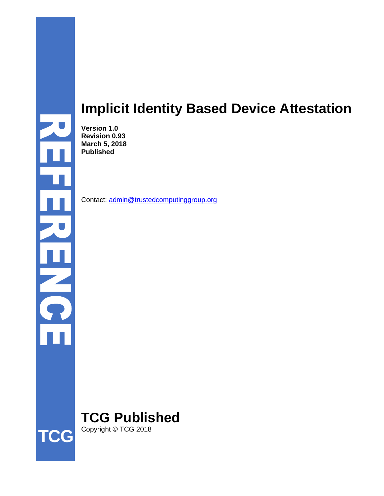# **Implicit Identity Based Device Attestation**

**Version 1.0 Revision 0.93 March 5, 2018 Published**

Contact: [admin@trustedcomputinggroup.org](mailto:admin@trustedcomputinggroup.org)

**TCG Published** Copyright © TCG 2018



 $\frac{11}{6}$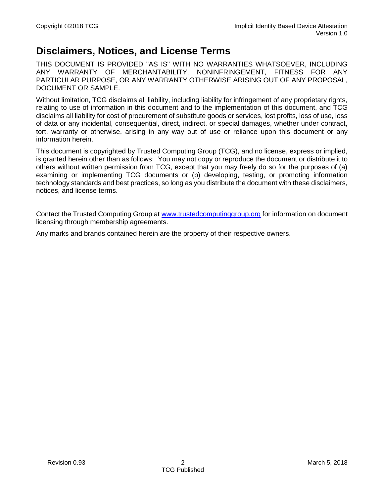### **Disclaimers, Notices, and License Terms**

THIS DOCUMENT IS PROVIDED "AS IS" WITH NO WARRANTIES WHATSOEVER, INCLUDING ANY WARRANTY OF MERCHANTABILITY, NONINFRINGEMENT, FITNESS FOR ANY PARTICULAR PURPOSE, OR ANY WARRANTY OTHERWISE ARISING OUT OF ANY PROPOSAL, DOCUMENT OR SAMPLE.

Without limitation, TCG disclaims all liability, including liability for infringement of any proprietary rights, relating to use of information in this document and to the implementation of this document, and TCG disclaims all liability for cost of procurement of substitute goods or services, lost profits, loss of use, loss of data or any incidental, consequential, direct, indirect, or special damages, whether under contract, tort, warranty or otherwise, arising in any way out of use or reliance upon this document or any information herein.

This document is copyrighted by Trusted Computing Group (TCG), and no license, express or implied, is granted herein other than as follows: You may not copy or reproduce the document or distribute it to others without written permission from TCG, except that you may freely do so for the purposes of (a) examining or implementing TCG documents or (b) developing, testing, or promoting information technology standards and best practices, so long as you distribute the document with these disclaimers, notices, and license terms.

Contact the Trusted Computing Group at [www.trustedcomputinggroup.org](http://www.trustedcomputinggroup.org/) for information on document licensing through membership agreements.

Any marks and brands contained herein are the property of their respective owners.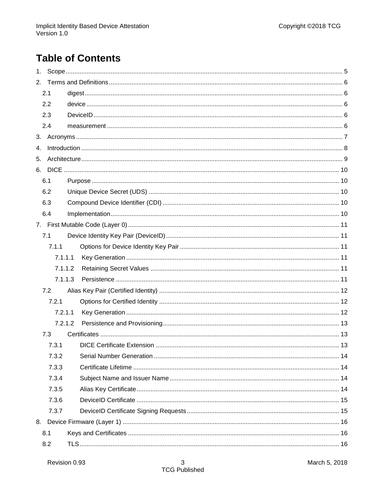# **Table of Contents**

| 1. |         |  |  |
|----|---------|--|--|
|    |         |  |  |
|    | 2.1     |  |  |
|    | 2.2     |  |  |
|    | 2.3     |  |  |
|    | 2.4     |  |  |
|    |         |  |  |
| 4. |         |  |  |
| 5. |         |  |  |
|    |         |  |  |
|    | 6.1     |  |  |
|    | 6.2     |  |  |
|    | 6.3     |  |  |
|    | 6.4     |  |  |
|    |         |  |  |
|    | 7.1     |  |  |
|    | 7.1.1   |  |  |
|    | 7.1.1.1 |  |  |
|    | 7.1.1.2 |  |  |
|    | 7.1.1.3 |  |  |
|    | 7.2     |  |  |
|    | 7.2.1   |  |  |
|    | 7.2.1.1 |  |  |
|    | 7.2.1.2 |  |  |
|    | 7.3     |  |  |
|    | 7.3.1   |  |  |
|    | 7.3.2   |  |  |
|    | 7.3.3   |  |  |
|    | 7.3.4   |  |  |
|    | 7.3.5   |  |  |
|    | 7.3.6   |  |  |
|    | 7.3.7   |  |  |
|    |         |  |  |
|    | 8.1     |  |  |
|    | 8.2     |  |  |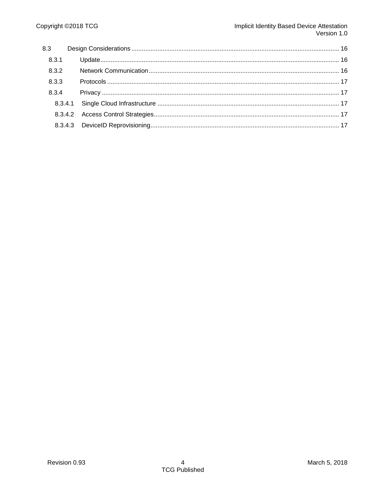| 8.3.1 |  |  |
|-------|--|--|
| 8.3.2 |  |  |
| 8.3.3 |  |  |
| 8.3.4 |  |  |
|       |  |  |
|       |  |  |
|       |  |  |
|       |  |  |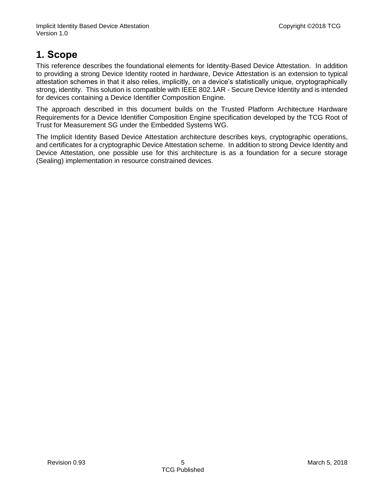## <span id="page-4-0"></span>**1. Scope**

This reference describes the foundational elements for Identity-Based Device Attestation. In addition to providing a strong Device Identity rooted in hardware, Device Attestation is an extension to typical attestation schemes in that it also relies, implicitly, on a device's statistically unique, cryptographically strong, identity. This solution is compatible with IEEE 802.1AR - Secure Device Identity and is intended for devices containing a Device Identifier Composition Engine.

The approach described in this document builds on the Trusted Platform Architecture Hardware Requirements for a Device Identifier Composition Engine specification developed by the TCG Root of Trust for Measurement SG under the Embedded Systems WG.

The Implicit Identity Based Device Attestation architecture describes keys, cryptographic operations, and certificates for a cryptographic Device Attestation scheme. In addition to strong Device Identity and Device Attestation, one possible use for this architecture is as a foundation for a secure storage (Sealing) implementation in resource constrained devices.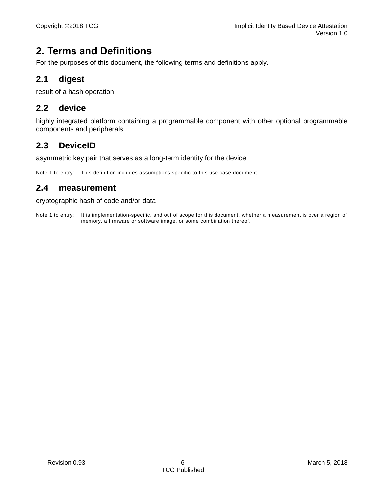### <span id="page-5-0"></span>**2. Terms and Definitions**

For the purposes of this document, the following terms and definitions apply.

#### <span id="page-5-1"></span>**2.1 digest**

result of a hash operation

#### <span id="page-5-2"></span>**2.2 device**

highly integrated platform containing a programmable component with other optional programmable components and peripherals

#### <span id="page-5-3"></span>**2.3 DeviceID**

asymmetric key pair that serves as a long-term identity for the device

Note 1 to entry: This definition includes assumptions specific to this use case document.

#### <span id="page-5-4"></span>**2.4 measurement**

#### cryptographic hash of code and/or data

Note 1 to entry: It is implementation-specific, and out of scope for this document, whether a measurement is over a region of memory, a firmware or software image, or some combination thereof.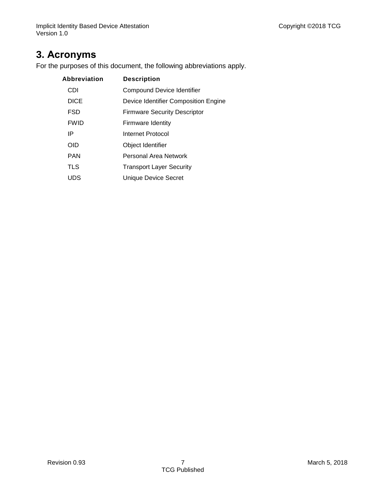### <span id="page-6-0"></span>**3. Acronyms**

For the purposes of this document, the following abbreviations apply.

| Abbreviation | <b>Description</b>                   |
|--------------|--------------------------------------|
| CDI          | <b>Compound Device Identifier</b>    |
| <b>DICE</b>  | Device Identifier Composition Engine |
| <b>FSD</b>   | <b>Firmware Security Descriptor</b>  |
| <b>FWID</b>  | Firmware Identity                    |
| IP           | Internet Protocol                    |
| <b>OID</b>   | Object Identifier                    |
| <b>PAN</b>   | Personal Area Network                |
| <b>TLS</b>   | <b>Transport Layer Security</b>      |
| UDS          | Unique Device Secret                 |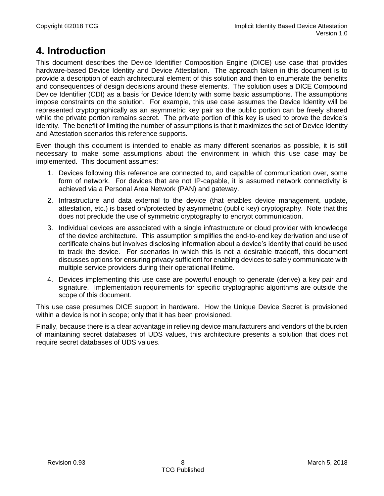### <span id="page-7-0"></span>**4. Introduction**

This document describes the Device Identifier Composition Engine (DICE) use case that provides hardware-based Device Identity and Device Attestation. The approach taken in this document is to provide a description of each architectural element of this solution and then to enumerate the benefits and consequences of design decisions around these elements. The solution uses a DICE Compound Device Identifier (CDI) as a basis for Device Identity with some basic assumptions. The assumptions impose constraints on the solution. For example, this use case assumes the Device Identity will be represented cryptographically as an asymmetric key pair so the public portion can be freely shared while the private portion remains secret. The private portion of this key is used to prove the device's identity. The benefit of limiting the number of assumptions is that it maximizes the set of Device Identity and Attestation scenarios this reference supports.

Even though this document is intended to enable as many different scenarios as possible, it is still necessary to make some assumptions about the environment in which this use case may be implemented. This document assumes:

- 1. Devices following this reference are connected to, and capable of communication over, some form of network. For devices that are not IP-capable, it is assumed network connectivity is achieved via a Personal Area Network (PAN) and gateway.
- 2. Infrastructure and data external to the device (that enables device management, update, attestation, etc.) is based on/protected by asymmetric (public key) cryptography. Note that this does not preclude the use of symmetric cryptography to encrypt communication.
- 3. Individual devices are associated with a single infrastructure or cloud provider with knowledge of the device architecture. This assumption simplifies the end-to-end key derivation and use of certificate chains but involves disclosing information about a device's identity that could be used to track the device. For scenarios in which this is not a desirable tradeoff, this document discusses options for ensuring privacy sufficient for enabling devices to safely communicate with multiple service providers during their operational lifetime.
- 4. Devices implementing this use case are powerful enough to generate (derive) a key pair and signature. Implementation requirements for specific cryptographic algorithms are outside the scope of this document.

This use case presumes DICE support in hardware. How the Unique Device Secret is provisioned within a device is not in scope; only that it has been provisioned.

Finally, because there is a clear advantage in relieving device manufacturers and vendors of the burden of maintaining secret databases of UDS values, this architecture presents a solution that does not require secret databases of UDS values.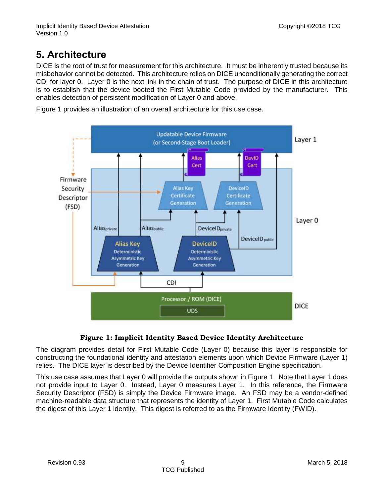### <span id="page-8-0"></span>**5. Architecture**

DICE is the root of trust for measurement for this architecture. It must be inherently trusted because its misbehavior cannot be detected. This architecture relies on DICE unconditionally generating the correct CDI for layer 0. Layer 0 is the next link in the chain of trust. The purpose of DICE in this architecture is to establish that the device booted the First Mutable Code provided by the manufacturer. This enables detection of persistent modification of Layer 0 and above.



[Figure 1](#page-8-1) provides an illustration of an overall architecture for this use case.

#### **Figure 1: Implicit Identity Based Device Identity Architecture**

<span id="page-8-1"></span>The diagram provides detail for First Mutable Code (Layer 0) because this layer is responsible for constructing the foundational identity and attestation elements upon which Device Firmware (Layer 1) relies. The DICE layer is described by the Device Identifier Composition Engine specification.

This use case assumes that Layer 0 will provide the outputs shown in [Figure 1.](#page-8-1) Note that Layer 1 does not provide input to Layer 0. Instead, Layer 0 measures Layer 1. In this reference, the Firmware Security Descriptor (FSD) is simply the Device Firmware image. An FSD may be a vendor-defined machine-readable data structure that represents the identity of Layer 1. First Mutable Code calculates the digest of this Layer 1 identity. This digest is referred to as the Firmware Identity (FWID).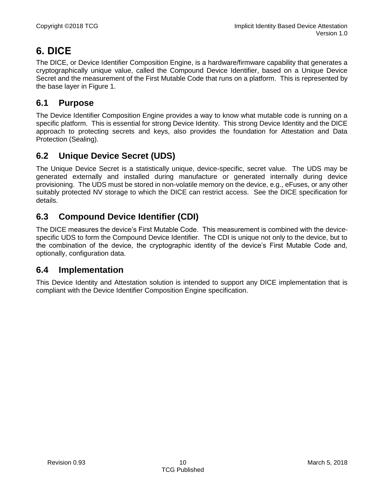### <span id="page-9-0"></span>**6. DICE**

The DICE, or Device Identifier Composition Engine, is a hardware/firmware capability that generates a cryptographically unique value, called the Compound Device Identifier, based on a Unique Device Secret and the measurement of the First Mutable Code that runs on a platform. This is represented by the base layer in [Figure 1.](#page-8-1)

#### <span id="page-9-1"></span>**6.1 Purpose**

The Device Identifier Composition Engine provides a way to know what mutable code is running on a specific platform. This is essential for strong Device Identity. This strong Device Identity and the DICE approach to protecting secrets and keys, also provides the foundation for Attestation and Data Protection (Sealing).

#### <span id="page-9-2"></span>**6.2 Unique Device Secret (UDS)**

The Unique Device Secret is a statistically unique, device-specific, secret value. The UDS may be generated externally and installed during manufacture or generated internally during device provisioning. The UDS must be stored in non-volatile memory on the device, e.g., eFuses, or any other suitably protected NV storage to which the DICE can restrict access. See the DICE specification for details.

#### <span id="page-9-3"></span>**6.3 Compound Device Identifier (CDI)**

The DICE measures the device's First Mutable Code. This measurement is combined with the devicespecific UDS to form the Compound Device Identifier. The CDI is unique not only to the device, but to the combination of the device, the cryptographic identity of the device's First Mutable Code and, optionally, configuration data.

#### <span id="page-9-4"></span>**6.4 Implementation**

This Device Identity and Attestation solution is intended to support any DICE implementation that is compliant with the Device Identifier Composition Engine specification.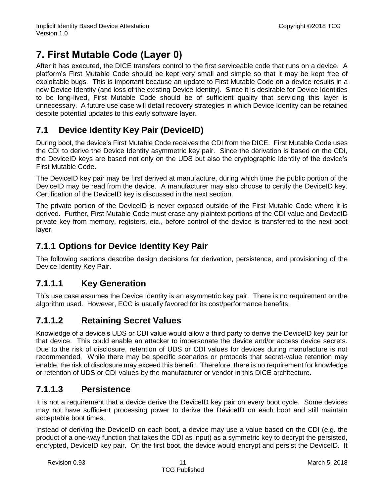## <span id="page-10-0"></span>**7. First Mutable Code (Layer 0)**

After it has executed, the DICE transfers control to the first serviceable code that runs on a device. A platform's First Mutable Code should be kept very small and simple so that it may be kept free of exploitable bugs. This is important because an update to First Mutable Code on a device results in a new Device Identity (and loss of the existing Device Identity). Since it is desirable for Device Identities to be long-lived, First Mutable Code should be of sufficient quality that servicing this layer is unnecessary. A future use case will detail recovery strategies in which Device Identity can be retained despite potential updates to this early software layer.

### <span id="page-10-1"></span>**7.1 Device Identity Key Pair (DeviceID)**

During boot, the device's First Mutable Code receives the CDI from the DICE. First Mutable Code uses the CDI to derive the Device Identity asymmetric key pair. Since the derivation is based on the CDI, the DeviceID keys are based not only on the UDS but also the cryptographic identity of the device's First Mutable Code.

The DeviceID key pair may be first derived at manufacture, during which time the public portion of the DeviceID may be read from the device. A manufacturer may also choose to certify the DeviceID key. Certification of the DeviceID key is discussed in the next section.

The private portion of the DeviceID is never exposed outside of the First Mutable Code where it is derived. Further, First Mutable Code must erase any plaintext portions of the CDI value and DeviceID private key from memory, registers, etc., before control of the device is transferred to the next boot layer.

#### <span id="page-10-2"></span>**7.1.1 Options for Device Identity Key Pair**

The following sections describe design decisions for derivation, persistence, and provisioning of the Device Identity Key Pair.

#### <span id="page-10-3"></span>**7.1.1.1 Key Generation**

This use case assumes the Device Identity is an asymmetric key pair. There is no requirement on the algorithm used. However, ECC is usually favored for its cost/performance benefits.

#### <span id="page-10-4"></span>**7.1.1.2 Retaining Secret Values**

Knowledge of a device's UDS or CDI value would allow a third party to derive the DeviceID key pair for that device. This could enable an attacker to impersonate the device and/or access device secrets. Due to the risk of disclosure, retention of UDS or CDI values for devices during manufacture is not recommended. While there may be specific scenarios or protocols that secret-value retention may enable, the risk of disclosure may exceed this benefit. Therefore, there is no requirement for knowledge or retention of UDS or CDI values by the manufacturer or vendor in this DICE architecture.

#### <span id="page-10-5"></span>**7.1.1.3 Persistence**

It is not a requirement that a device derive the DeviceID key pair on every boot cycle. Some devices may not have sufficient processing power to derive the DeviceID on each boot and still maintain acceptable boot times.

Instead of deriving the DeviceID on each boot, a device may use a value based on the CDI (e.g. the product of a one-way function that takes the CDI as input) as a symmetric key to decrypt the persisted, encrypted, DeviceID key pair. On the first boot, the device would encrypt and persist the DeviceID. It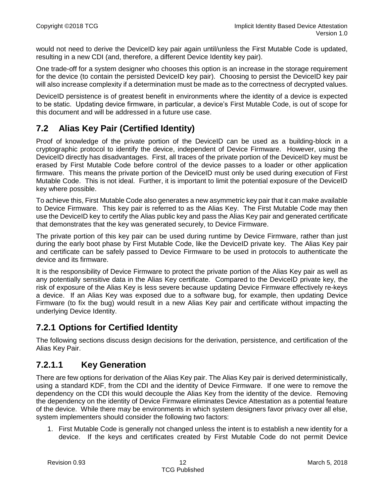would not need to derive the DeviceID key pair again until/unless the First Mutable Code is updated, resulting in a new CDI (and, therefore, a different Device Identity key pair).

One trade-off for a system designer who chooses this option is an increase in the storage requirement for the device (to contain the persisted DeviceID key pair). Choosing to persist the DeviceID key pair will also increase complexity if a determination must be made as to the correctness of decrypted values.

DeviceID persistence is of greatest benefit in environments where the identity of a device is expected to be static. Updating device firmware, in particular, a device's First Mutable Code, is out of scope for this document and will be addressed in a future use case.

#### <span id="page-11-0"></span>**7.2 Alias Key Pair (Certified Identity)**

Proof of knowledge of the private portion of the DeviceID can be used as a building-block in a cryptographic protocol to identify the device, independent of Device Firmware. However, using the DeviceID directly has disadvantages. First, all traces of the private portion of the DeviceID key must be erased by First Mutable Code before control of the device passes to a loader or other application firmware. This means the private portion of the DeviceID must only be used during execution of First Mutable Code. This is not ideal. Further, it is important to limit the potential exposure of the DeviceID key where possible.

To achieve this, First Mutable Code also generates a new asymmetric key pair that it can make available to Device Firmware. This key pair is referred to as the Alias Key. The First Mutable Code may then use the DeviceID key to certify the Alias public key and pass the Alias Key pair and generated certificate that demonstrates that the key was generated securely, to Device Firmware.

The private portion of this key pair can be used during runtime by Device Firmware, rather than just during the early boot phase by First Mutable Code, like the DeviceID private key. The Alias Key pair and certificate can be safely passed to Device Firmware to be used in protocols to authenticate the device and its firmware.

It is the responsibility of Device Firmware to protect the private portion of the Alias Key pair as well as any potentially sensitive data in the Alias Key certificate. Compared to the DeviceID private key, the risk of exposure of the Alias Key is less severe because updating Device Firmware effectively re-keys a device. If an Alias Key was exposed due to a software bug, for example, then updating Device Firmware (to fix the bug) would result in a new Alias Key pair and certificate without impacting the underlying Device Identity.

#### <span id="page-11-1"></span>**7.2.1 Options for Certified Identity**

The following sections discuss design decisions for the derivation, persistence, and certification of the Alias Key Pair.

#### <span id="page-11-2"></span>**7.2.1.1 Key Generation**

There are few options for derivation of the Alias Key pair. The Alias Key pair is derived deterministically, using a standard KDF, from the CDI and the identity of Device Firmware. If one were to remove the dependency on the CDI this would decouple the Alias Key from the identity of the device. Removing the dependency on the identity of Device Firmware eliminates Device Attestation as a potential feature of the device. While there may be environments in which system designers favor privacy over all else, system implementers should consider the following two factors:

1. First Mutable Code is generally not changed unless the intent is to establish a new identity for a device. If the keys and certificates created by First Mutable Code do not permit Device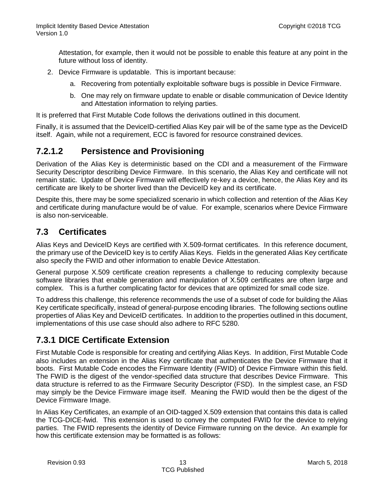Attestation, for example, then it would not be possible to enable this feature at any point in the future without loss of identity.

- 2. Device Firmware is updatable. This is important because:
	- a. Recovering from potentially exploitable software bugs is possible in Device Firmware.
	- b. One may rely on firmware update to enable or disable communication of Device Identity and Attestation information to relying parties.

It is preferred that First Mutable Code follows the derivations outlined in this document.

Finally, it is assumed that the DeviceID-certified Alias Key pair will be of the same type as the DeviceID itself. Again, while not a requirement, ECC is favored for resource constrained devices.

#### <span id="page-12-0"></span>**7.2.1.2 Persistence and Provisioning**

Derivation of the Alias Key is deterministic based on the CDI and a measurement of the Firmware Security Descriptor describing Device Firmware. In this scenario, the Alias Key and certificate will not remain static. Update of Device Firmware will effectively re-key a device, hence, the Alias Key and its certificate are likely to be shorter lived than the DeviceID key and its certificate.

Despite this, there may be some specialized scenario in which collection and retention of the Alias Key and certificate during manufacture would be of value. For example, scenarios where Device Firmware is also non-serviceable.

#### <span id="page-12-1"></span>**7.3 Certificates**

Alias Keys and DeviceID Keys are certified with X.509-format certificates. In this reference document, the primary use of the DeviceID key is to certify Alias Keys. Fields in the generated Alias Key certificate also specify the FWID and other information to enable Device Attestation.

General purpose X.509 certificate creation represents a challenge to reducing complexity because software libraries that enable generation and manipulation of X.509 certificates are often large and complex. This is a further complicating factor for devices that are optimized for small code size.

To address this challenge, this reference recommends the use of a subset of code for building the Alias Key certificate specifically, instead of general-purpose encoding libraries. The following sections outline properties of Alias Key and DeviceID certificates. In addition to the properties outlined in this document, implementations of this use case should also adhere to RFC 5280.

#### <span id="page-12-2"></span>**7.3.1 DICE Certificate Extension**

First Mutable Code is responsible for creating and certifying Alias Keys. In addition, First Mutable Code also includes an extension in the Alias Key certificate that authenticates the Device Firmware that it boots. First Mutable Code encodes the Firmware Identity (FWID) of Device Firmware within this field. The FWID is the digest of the vendor-specified data structure that describes Device Firmware. This data structure is referred to as the Firmware Security Descriptor (FSD). In the simplest case, an FSD may simply be the Device Firmware image itself. Meaning the FWID would then be the digest of the Device Firmware Image.

In Alias Key Certificates, an example of an OID-tagged X.509 extension that contains this data is called the TCG-DICE-fwid. This extension is used to convey the computed FWID for the device to relying parties. The FWID represents the identity of Device Firmware running on the device. An example for how this certificate extension may be formatted is as follows: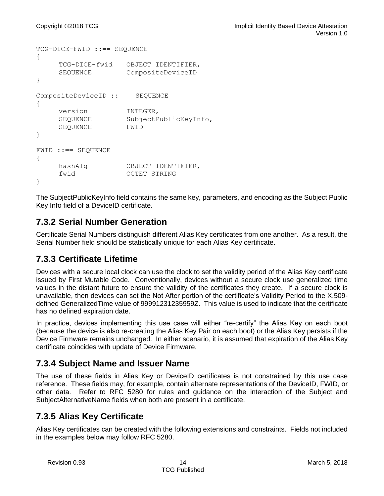```
TCG-DICE-FWID ::== SEQUENCE 
{
    TCG-DICE-fwid OBJECT IDENTIFIER,
    SEQUENCE CompositeDeviceID
}
CompositeDeviceID ::== SEQUENCE 
{
    version INTEGER,
    SEQUENCE SubjectPublicKeyInfo,
    SEQUENCE FWID
}
FWID ::== SEQUENCE
{
    hashAlg OBJECT IDENTIFIER,
    fwid OCTET STRING
}
```
The SubjectPublicKeyInfo field contains the same key, parameters, and encoding as the Subject Public Key Info field of a DeviceID certificate.

#### <span id="page-13-0"></span>**7.3.2 Serial Number Generation**

Certificate Serial Numbers distinguish different Alias Key certificates from one another. As a result, the Serial Number field should be statistically unique for each Alias Key certificate.

#### <span id="page-13-1"></span>**7.3.3 Certificate Lifetime**

Devices with a secure local clock can use the clock to set the validity period of the Alias Key certificate issued by First Mutable Code. Conventionally, devices without a secure clock use generalized time values in the distant future to ensure the validity of the certificates they create. If a secure clock is unavailable, then devices can set the Not After portion of the certificate's Validity Period to the X.509 defined GeneralizedTime value of 99991231235959Z. This value is used to indicate that the certificate has no defined expiration date.

In practice, devices implementing this use case will either "re-certify" the Alias Key on each boot (because the device is also re-creating the Alias Key Pair on each boot) or the Alias Key persists if the Device Firmware remains unchanged. In either scenario, it is assumed that expiration of the Alias Key certificate coincides with update of Device Firmware.

#### <span id="page-13-2"></span>**7.3.4 Subject Name and Issuer Name**

The use of these fields in Alias Key or DeviceID certificates is not constrained by this use case reference. These fields may, for example, contain alternate representations of the DeviceID, FWID, or other data. Refer to RFC 5280 for rules and guidance on the interaction of the Subject and SubjectAlternativeName fields when both are present in a certificate.

#### <span id="page-13-3"></span>**7.3.5 Alias Key Certificate**

Alias Key certificates can be created with the following extensions and constraints. Fields not included in the examples below may follow RFC 5280.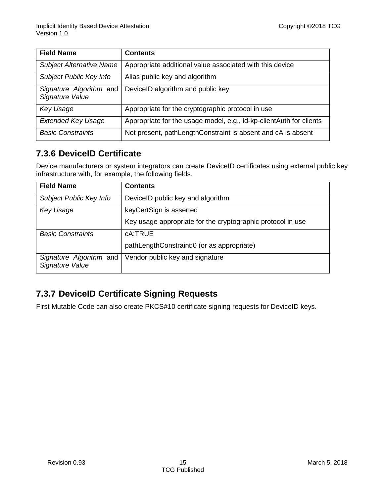| <b>Field Name</b>                          | <b>Contents</b>                                                     |
|--------------------------------------------|---------------------------------------------------------------------|
| <b>Subject Alternative Name</b>            | Appropriate additional value associated with this device            |
| Subject Public Key Info                    | Alias public key and algorithm                                      |
| Signature Algorithm and<br>Signature Value | DeviceID algorithm and public key                                   |
| <b>Key Usage</b>                           | Appropriate for the cryptographic protocol in use                   |
| <b>Extended Key Usage</b>                  | Appropriate for the usage model, e.g., id-kp-clientAuth for clients |
| <b>Basic Constraints</b>                   | Not present, pathLengthConstraint is absent and cA is absent        |

#### <span id="page-14-0"></span>**7.3.6 DeviceID Certificate**

Device manufacturers or system integrators can create DeviceID certificates using external public key infrastructure with, for example, the following fields.

| <b>Field Name</b>                          | <b>Contents</b>                                             |
|--------------------------------------------|-------------------------------------------------------------|
| Subject Public Key Info                    | DeviceID public key and algorithm                           |
| <b>Key Usage</b>                           | keyCertSign is asserted                                     |
|                                            | Key usage appropriate for the cryptographic protocol in use |
| <b>Basic Constraints</b>                   | cA:TRUE                                                     |
|                                            | pathLengthConstraint:0 (or as appropriate)                  |
| Signature Algorithm and<br>Signature Value | Vendor public key and signature                             |

#### <span id="page-14-1"></span>**7.3.7 DeviceID Certificate Signing Requests**

First Mutable Code can also create PKCS#10 certificate signing requests for DeviceID keys.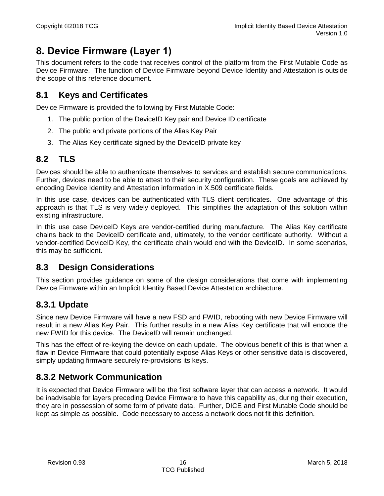### <span id="page-15-0"></span>**8. Device Firmware (Layer 1)**

This document refers to the code that receives control of the platform from the First Mutable Code as Device Firmware. The function of Device Firmware beyond Device Identity and Attestation is outside the scope of this reference document.

#### <span id="page-15-1"></span>**8.1 Keys and Certificates**

Device Firmware is provided the following by First Mutable Code:

- 1. The public portion of the DeviceID Key pair and Device ID certificate
- 2. The public and private portions of the Alias Key Pair
- 3. The Alias Key certificate signed by the DeviceID private key

#### <span id="page-15-2"></span>**8.2 TLS**

Devices should be able to authenticate themselves to services and establish secure communications. Further, devices need to be able to attest to their security configuration. These goals are achieved by encoding Device Identity and Attestation information in X.509 certificate fields.

In this use case, devices can be authenticated with TLS client certificates. One advantage of this approach is that TLS is very widely deployed. This simplifies the adaptation of this solution within existing infrastructure.

In this use case DeviceID Keys are vendor-certified during manufacture. The Alias Key certificate chains back to the DeviceID certificate and, ultimately, to the vendor certificate authority. Without a vendor-certified DeviceID Key, the certificate chain would end with the DeviceID. In some scenarios, this may be sufficient.

#### <span id="page-15-3"></span>**8.3 Design Considerations**

This section provides guidance on some of the design considerations that come with implementing Device Firmware within an Implicit Identity Based Device Attestation architecture.

#### <span id="page-15-4"></span>**8.3.1 Update**

Since new Device Firmware will have a new FSD and FWID, rebooting with new Device Firmware will result in a new Alias Key Pair. This further results in a new Alias Key certificate that will encode the new FWID for this device. The DeviceID will remain unchanged.

This has the effect of re-keying the device on each update. The obvious benefit of this is that when a flaw in Device Firmware that could potentially expose Alias Keys or other sensitive data is discovered, simply updating firmware securely re-provisions its keys.

#### <span id="page-15-5"></span>**8.3.2 Network Communication**

It is expected that Device Firmware will be the first software layer that can access a network. It would be inadvisable for layers preceding Device Firmware to have this capability as, during their execution, they are in possession of some form of private data. Further, DICE and First Mutable Code should be kept as simple as possible. Code necessary to access a network does not fit this definition.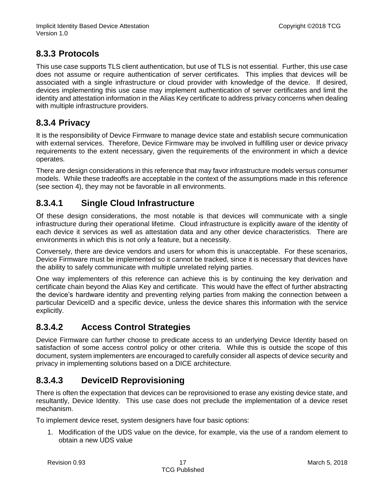#### <span id="page-16-0"></span>**8.3.3 Protocols**

This use case supports TLS client authentication, but use of TLS is not essential. Further, this use case does not assume or require authentication of server certificates. This implies that devices will be associated with a single infrastructure or cloud provider with knowledge of the device. If desired, devices implementing this use case may implement authentication of server certificates and limit the identity and attestation information in the Alias Key certificate to address privacy concerns when dealing with multiple infrastructure providers.

#### <span id="page-16-1"></span>**8.3.4 Privacy**

It is the responsibility of Device Firmware to manage device state and establish secure communication with external services. Therefore, Device Firmware may be involved in fulfilling user or device privacy requirements to the extent necessary, given the requirements of the environment in which a device operates.

There are design considerations in this reference that may favor infrastructure models versus consumer models. While these tradeoffs are acceptable in the context of the assumptions made in this reference (see section [4\)](#page-7-0), they may not be favorable in all environments.

#### <span id="page-16-2"></span>**8.3.4.1 Single Cloud Infrastructure**

Of these design considerations, the most notable is that devices will communicate with a single infrastructure during their operational lifetime. Cloud infrastructure is explicitly aware of the identity of each device it services as well as attestation data and any other device characteristics. There are environments in which this is not only a feature, but a necessity.

Conversely, there are device vendors and users for whom this is unacceptable. For these scenarios, Device Firmware must be implemented so it cannot be tracked, since it is necessary that devices have the ability to safely communicate with multiple unrelated relying parties.

One way implementers of this reference can achieve this is by continuing the key derivation and certificate chain beyond the Alias Key and certificate. This would have the effect of further abstracting the device's hardware identity and preventing relying parties from making the connection between a particular DeviceID and a specific device, unless the device shares this information with the service explicitly.

#### <span id="page-16-3"></span>**8.3.4.2 Access Control Strategies**

Device Firmware can further choose to predicate access to an underlying Device Identity based on satisfaction of some access control policy or other criteria. While this is outside the scope of this document, system implementers are encouraged to carefully consider all aspects of device security and privacy in implementing solutions based on a DICE architecture.

#### <span id="page-16-4"></span>**8.3.4.3 DeviceID Reprovisioning**

There is often the expectation that devices can be reprovisioned to erase any existing device state, and resultantly, Device Identity. This use case does not preclude the implementation of a device reset mechanism.

To implement device reset, system designers have four basic options:

1. Modification of the UDS value on the device, for example, via the use of a random element to obtain a new UDS value